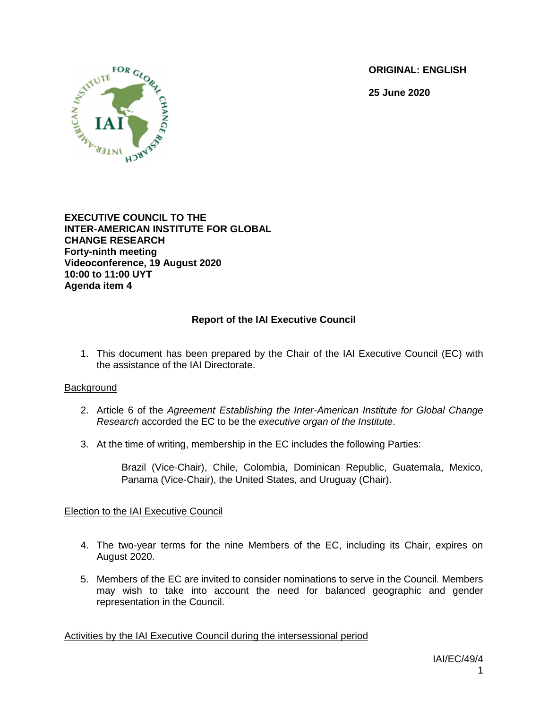**ORIGINAL: ENGLISH**

**25 June 2020**



**EXECUTIVE COUNCIL TO THE INTER-AMERICAN INSTITUTE FOR GLOBAL CHANGE RESEARCH Forty-ninth meeting Videoconference, 19 August 2020 10:00 to 11:00 UYT Agenda item 4**

# **Report of the IAI Executive Council**

1. This document has been prepared by the Chair of the IAI Executive Council (EC) with the assistance of the IAI Directorate.

### **Background**

- 2. Article 6 of the *Agreement Establishing the Inter-American Institute for Global Change Research* accorded the EC to be the *executive organ of the Institute*.
- 3. At the time of writing, membership in the EC includes the following Parties:

Brazil (Vice-Chair), Chile, Colombia, Dominican Republic, Guatemala, Mexico, Panama (Vice-Chair), the United States, and Uruguay (Chair).

## Election to the IAI Executive Council

- 4. The two-year terms for the nine Members of the EC, including its Chair, expires on August 2020.
- 5. Members of the EC are invited to consider nominations to serve in the Council. Members may wish to take into account the need for balanced geographic and gender representation in the Council.

Activities by the IAI Executive Council during the intersessional period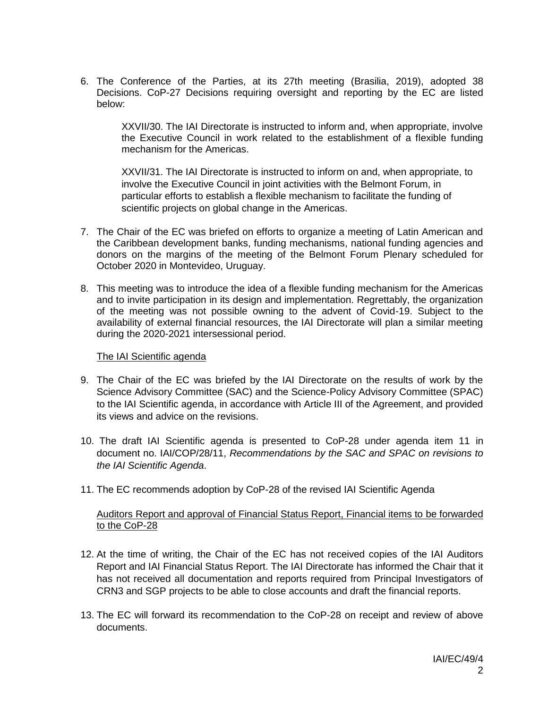6. The Conference of the Parties, at its 27th meeting (Brasilia, 2019), adopted 38 Decisions. CoP-27 Decisions requiring oversight and reporting by the EC are listed below:

XXVII/30. The IAI Directorate is instructed to inform and, when appropriate, involve the Executive Council in work related to the establishment of a flexible funding mechanism for the Americas.

XXVII/31. The IAI Directorate is instructed to inform on and, when appropriate, to involve the Executive Council in joint activities with the Belmont Forum, in particular efforts to establish a flexible mechanism to facilitate the funding of scientific projects on global change in the Americas.

- 7. The Chair of the EC was briefed on efforts to organize a meeting of Latin American and the Caribbean development banks, funding mechanisms, national funding agencies and donors on the margins of the meeting of the Belmont Forum Plenary scheduled for October 2020 in Montevideo, Uruguay.
- 8. This meeting was to introduce the idea of a flexible funding mechanism for the Americas and to invite participation in its design and implementation. Regrettably, the organization of the meeting was not possible owning to the advent of Covid-19. Subject to the availability of external financial resources, the IAI Directorate will plan a similar meeting during the 2020-2021 intersessional period.

#### The IAI Scientific agenda

- 9. The Chair of the EC was briefed by the IAI Directorate on the results of work by the Science Advisory Committee (SAC) and the Science-Policy Advisory Committee (SPAC) to the IAI Scientific agenda, in accordance with Article III of the Agreement, and provided its views and advice on the revisions.
- 10. The draft IAI Scientific agenda is presented to CoP-28 under agenda item 11 in document no. IAI/COP/28/11, *Recommendations by the SAC and SPAC on revisions to the IAI Scientific Agenda*.
- 11. The EC recommends adoption by CoP-28 of the revised IAI Scientific Agenda

### Auditors Report and approval of Financial Status Report, Financial items to be forwarded to the CoP-28

- 12. At the time of writing, the Chair of the EC has not received copies of the IAI Auditors Report and IAI Financial Status Report. The IAI Directorate has informed the Chair that it has not received all documentation and reports required from Principal Investigators of CRN3 and SGP projects to be able to close accounts and draft the financial reports.
- 13. The EC will forward its recommendation to the CoP-28 on receipt and review of above documents.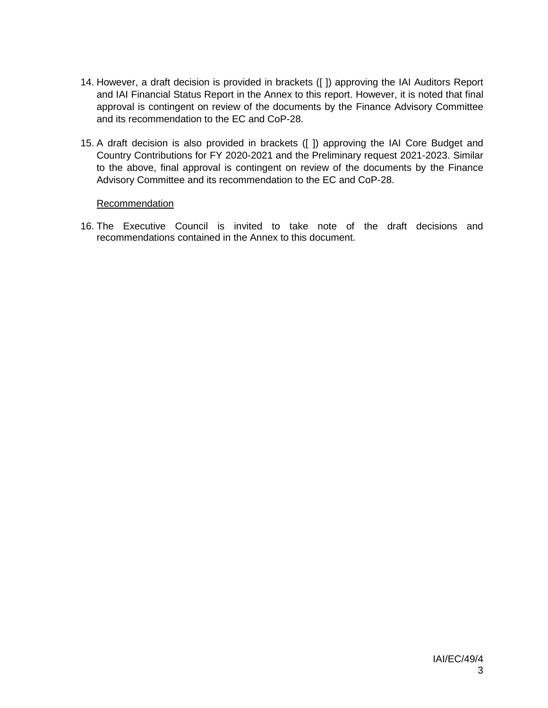- 14. However, a draft decision is provided in brackets ([ ]) approving the IAI Auditors Report and IAI Financial Status Report in the Annex to this report. However, it is noted that final approval is contingent on review of the documents by the Finance Advisory Committee and its recommendation to the EC and CoP-28.
- 15. A draft decision is also provided in brackets ([ ]) approving the IAI Core Budget and Country Contributions for FY 2020-2021 and the Preliminary request 2021-2023. Similar to the above, final approval is contingent on review of the documents by the Finance Advisory Committee and its recommendation to the EC and CoP-28.

### Recommendation

16. The Executive Council is invited to take note of the draft decisions and recommendations contained in the Annex to this document.